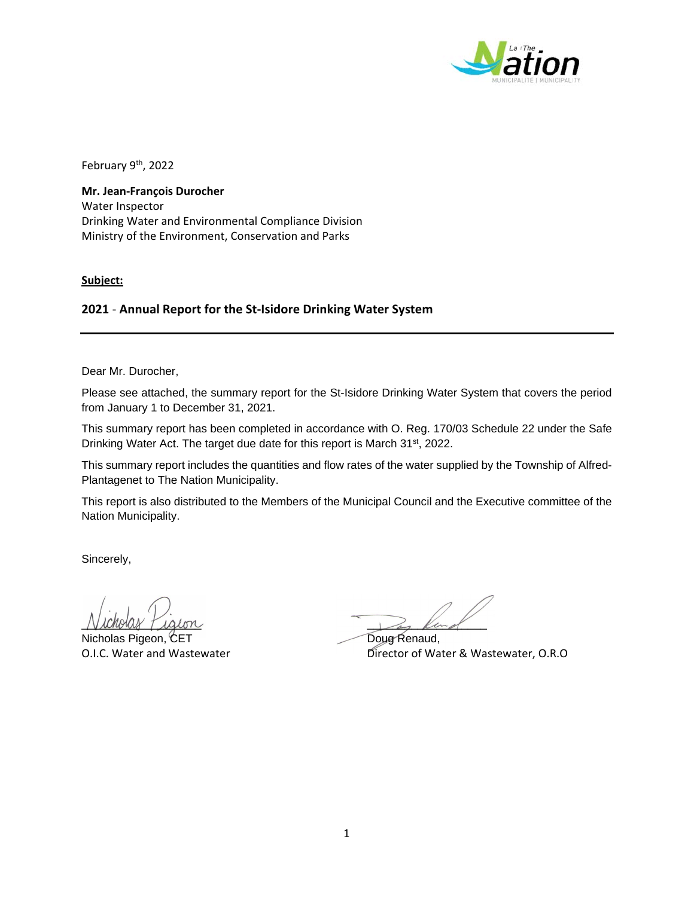

February 9<sup>th</sup>, 2022

**Mr. Jean‐François Durocher** Water Inspector Drinking Water and Environmental Compliance Division Ministry of the Environment, Conservation and Parks

**Subject:**

## **2021** ‐ **Annual Report for the St‐Isidore Drinking Water System**

Dear Mr. Durocher,

Please see attached, the summary report for the St-Isidore Drinking Water System that covers the period from January 1 to December 31, 2021.

This summary report has been completed in accordance with O. Reg. 170/03 Schedule 22 under the Safe Drinking Water Act. The target due date for this report is March 31<sup>st</sup>, 2022.

This summary report includes the quantities and flow rates of the water supplied by the Township of Alfred-Plantagenet to The Nation Municipality.

This report is also distributed to the Members of the Municipal Council and the Executive committee of the Nation Municipality.

Sincerely,

Nicholas Pigeon, CET Doug Renaud,

 $N$ icholay Piqion

O.I.C. Water and Wastewater **Director of Water & Wastewater, O.R.O**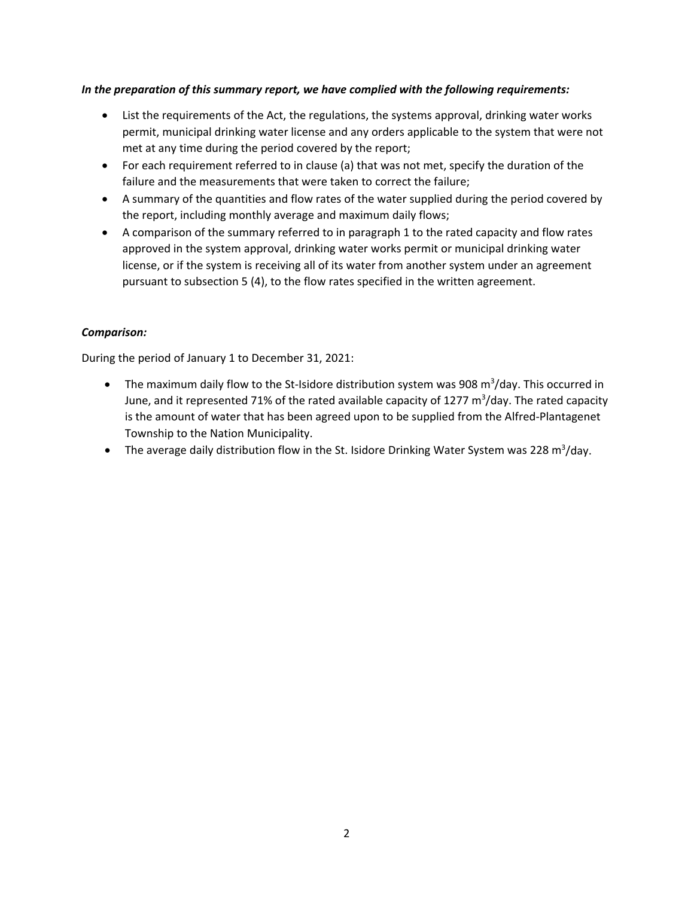## *In the preparation of this summary report, we have complied with the following requirements:*

- List the requirements of the Act, the regulations, the systems approval, drinking water works permit, municipal drinking water license and any orders applicable to the system that were not met at any time during the period covered by the report;
- For each requirement referred to in clause (a) that was not met, specify the duration of the failure and the measurements that were taken to correct the failure;
- A summary of the quantities and flow rates of the water supplied during the period covered by the report, including monthly average and maximum daily flows;
- A comparison of the summary referred to in paragraph 1 to the rated capacity and flow rates approved in the system approval, drinking water works permit or municipal drinking water license, or if the system is receiving all of its water from another system under an agreement pursuant to subsection 5 (4), to the flow rates specified in the written agreement.

## *Comparison:*

During the period of January 1 to December 31, 2021:

- The maximum daily flow to the St-Isidore distribution system was 908 m<sup>3</sup>/day. This occurred in June, and it represented 71% of the rated available capacity of 1277 m<sup>3</sup>/day. The rated capacity is the amount of water that has been agreed upon to be supplied from the Alfred‐Plantagenet Township to the Nation Municipality.
- The average daily distribution flow in the St. Isidore Drinking Water System was 228 m<sup>3</sup>/day.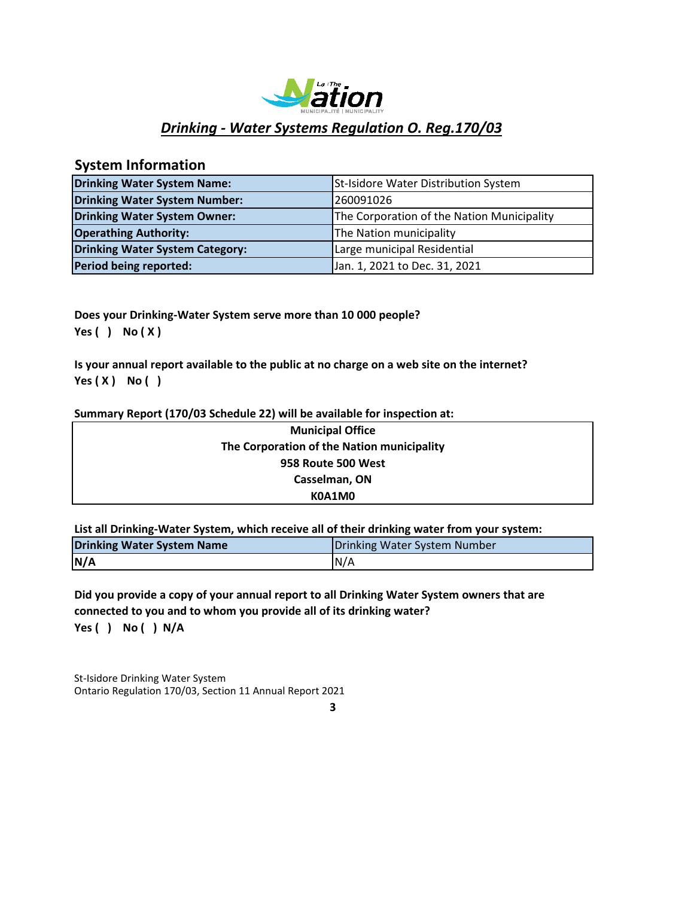

# *Drinking ‐ Water Systems Regulation O. Reg.170/03*

# **System Information**

| <b>Drinking Water System Name:</b>     | St-Isidore Water Distribution System       |
|----------------------------------------|--------------------------------------------|
| Drinking Water System Number:          | 260091026                                  |
| Drinking Water System Owner:           | The Corporation of the Nation Municipality |
| <b>Operathing Authority:</b>           | The Nation municipality                    |
| <b>Drinking Water System Category:</b> | Large municipal Residential                |
| Period being reported:                 | Jan. 1, 2021 to Dec. 31, 2021              |

**Does your Drinking‐Water System serve more than 10 000 people? Yes ( ) No ( X )**

**Is your annual report available to the public at no charge on a web site on the internet? Yes ( X ) No ( )**

#### **Summary Report (170/03 Schedule 22) will be available for inspection at:**

| <b>Municipal Office</b>                    |  |
|--------------------------------------------|--|
| The Corporation of the Nation municipality |  |
| 958 Route 500 West                         |  |
| Casselman, ON                              |  |
| K0A1M0                                     |  |

**List all Drinking‐Water System, which receive all of their drinking water from your system:**

| <b>Drinking Water System Name</b> | Drinking Water System Number |  |  |
|-----------------------------------|------------------------------|--|--|
| N/A                               | IN/A                         |  |  |

**Yes ( ) No ( ) N/A Did you provide a copy of your annual report to all Drinking Water System owners that are connected to you and to whom you provide all of its drinking water?**

St-Isidore Drinking Water System Ontario Regulation 170/03, Section 11 Annual Report 2021

**3**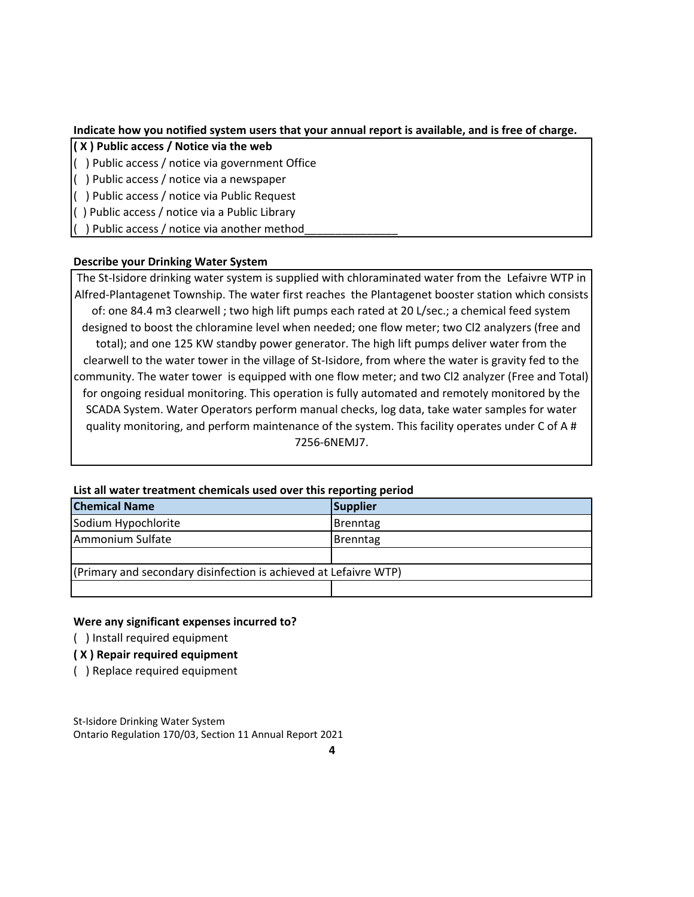### **Indicate how you notified system users that your annual report is available, and is free of charge.**

- **( X ) Public access / Notice via the web**
- ( ) Public access / notice via government Office
- ( ) Public access / notice via a newspaper
- ( ) Public access / notice via Public Request
- ( ) Public access / notice via a Public Library
- ( ) Public access / notice via another method\_\_\_\_\_\_\_\_\_\_\_\_\_\_\_

## **Describe your Drinking Water System**

The St-Isidore drinking water system is supplied with chloraminated water from the Lefaivre WTP in Alfred‐Plantagenet Township. The water first reaches the Plantagenet booster station which consists of: one 84.4 m3 clearwell ; two high lift pumps each rated at 20 L/sec.; a chemical feed system designed to boost the chloramine level when needed; one flow meter; two Cl2 analyzers (free and total); and one 125 KW standby power generator. The high lift pumps deliver water from the clearwell to the water tower in the village of St‐Isidore, from where the water is gravity fed to the community. The water tower is equipped with one flow meter; and two Cl2 analyzer (Free and Total) for ongoing residual monitoring. This operation is fully automated and remotely monitored by the SCADA System. Water Operators perform manual checks, log data, take water samples for water quality monitoring, and perform maintenance of the system. This facility operates under C of A # 7256‐6NEMJ7.

| List all water treatment chemicals used over this reporting period |                 |  |  |  |
|--------------------------------------------------------------------|-----------------|--|--|--|
| <b>Chemical Name</b>                                               | Supplier        |  |  |  |
| Sodium Hypochlorite                                                | <b>Brenntag</b> |  |  |  |
| Ammonium Sulfate                                                   | Brenntag        |  |  |  |
|                                                                    |                 |  |  |  |
| (Primary and secondary disinfection is achieved at Lefaivre WTP)   |                 |  |  |  |
|                                                                    |                 |  |  |  |

#### **List all water treatment chemicals used over this reporting period**

#### **Were any significant expenses incurred to?**

( ) Install required equipment

### **( X ) Repair required equipment**

( ) Replace required equipment

St-Isidore Drinking Water System Ontario Regulation 170/03, Section 11 Annual Report 2021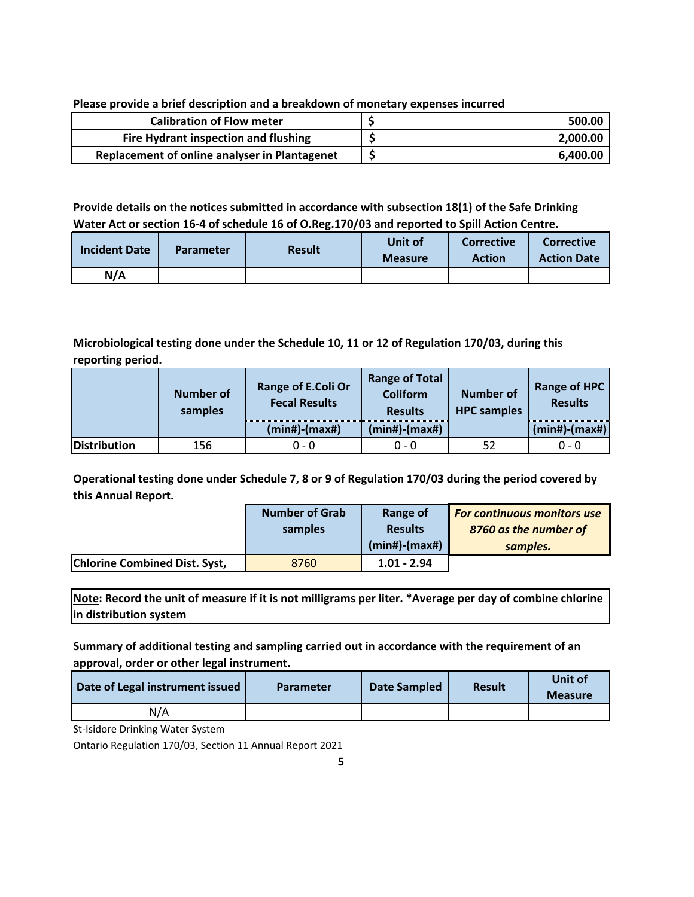**Please provide a brief description and a breakdown of monetary expenses incurred**

| <b>Calibration of Flow meter</b>              | 500.00   |
|-----------------------------------------------|----------|
| Fire Hydrant inspection and flushing          | 2,000.00 |
| Replacement of online analyser in Plantagenet | 6.400.00 |

## **Provide details on the notices submitted in accordance with subsection 18(1) of the Safe Drinking Water Act or section 16‐4 of schedule 16 of O.Reg.170/03 and reported to Spill Action Centre.**

| <b>Incident Date</b> | <b>Parameter</b> | <b>Result</b> | Unit of<br><b>Measure</b> | Corrective<br><b>Action</b> | <b>Corrective</b><br><b>Action Date</b> |
|----------------------|------------------|---------------|---------------------------|-----------------------------|-----------------------------------------|
| N/A                  |                  |               |                           |                             |                                         |

## **Microbiological testing done under the Schedule 10, 11 or 12 of Regulation 170/03, during this reporting period.**

|                     | <b>Number of</b><br>samples | Range of E.Coli Or<br><b>Fecal Results</b> | <b>Range of Total</b><br><b>Coliform</b><br><b>Results</b> | <b>Number of</b><br><b>HPC</b> samples | <b>Range of HPC</b><br><b>Results</b> |
|---------------------|-----------------------------|--------------------------------------------|------------------------------------------------------------|----------------------------------------|---------------------------------------|
|                     |                             | $(min#)-(max#)$                            | $(min#)-(max#)$                                            |                                        | $(min#)$ - $(max#)$                   |
| <b>Distribution</b> | 156                         | $0 - 0$                                    | $0 - 0$                                                    | 52                                     | $0 - 0$                               |

**Operational testing done under Schedule 7, 8 or 9 of Regulation 170/03 during the period covered by this Annual Report.**

|                                      | <b>Number of Grab</b> | Range of            | For continuous monitors use |
|--------------------------------------|-----------------------|---------------------|-----------------------------|
|                                      | samples               | <b>Results</b>      | 8760 as the number of       |
|                                      |                       | $(min#)$ - $(max#)$ | samples.                    |
| <b>Chlorine Combined Dist. Syst,</b> | 8760                  | $1.01 - 2.94$       |                             |

**Note: Record the unit of measure if it is not milligrams per liter. \*Average per day of combine chlorine in distribution system**

**Summary of additional testing and sampling carried out in accordance with the requirement of an approval, order or other legal instrument.**

| Date of Legal instrument issued | <b>Parameter</b> | Date Sampled | <b>Result</b> | Unit of<br><b>Measure</b> |
|---------------------------------|------------------|--------------|---------------|---------------------------|
| N/A                             |                  |              |               |                           |

St-Isidore Drinking Water System

Ontario Regulation 170/03, Section 11 Annual Report 2021